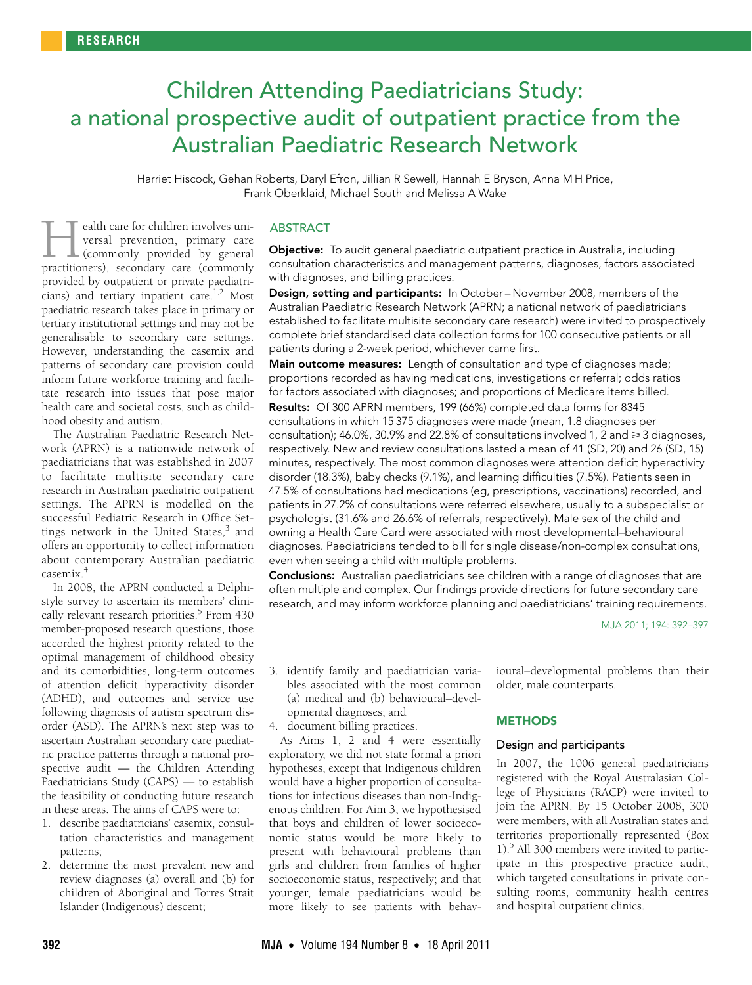# <span id="page-0-0"></span>Children Attending Paediatricians Study: a national prospective audit of outpatient practice from the Australian Paediatric Research Network

Harriet Hiscock, Gehan Roberts, Daryl Efron, Jillian R Sewell, Hannah E Bryson, Anna M H Price, Frank Oberklaid, Michael South and Melissa A Wake

ealth care for children involves universal prevention, primary care  $\blacksquare$  (commonly provided by general **propending the Control of the Control** versal prevention, primary care (commonly provided by general practitioners), secondary care (commonly provided by outpatient or private paediatri-cians) and tertiary inpatient care.<sup>[1](#page-4-0),[2](#page-4-1)</sup> Most paediatric research takes place in primary or tertiary institutional settings and may not be generalisable to secondary care settings. However, understanding the casemix and patterns of secondary care provision could inform future workforce training and facilitate research into issues that pose major health care and societal costs, such as childhood obesity and autism.

to facilitate multisite secondary care research in Australian paediatric ou[tpat](#page-0-0)[ient](#page-5-0) settings. The APRN is modelled on the settings. The APRN is modelled on the<br>successful Pediatric Research in Office Set-tings network in the United States,<sup>[3](#page-4-2)</sup> and The Australian Paediatric Research Network (APRN) is a nationwide network of paediatricians that was established in 2007 offers an opportunity to collect information about contemporary Australian paediatric casemix.[4](#page-4-3)

In 2008, the APRN conducted a Delphistyle survey to ascertain its members' clini-cally relevant research priorities.<sup>[5](#page-4-4)</sup> From 430 member-proposed research questions, those accorded the highest priority related to the optimal management of childhood obesity and its comorbidities, long-term outcomes of attention deficit hyperactivity disorder (ADHD), and outcomes and service use following diagnosis of autism spectrum disorder (ASD). The APRN's next step was to ascertain Australian secondary care paediatric practice patterns through a national prospective audit — the Children Attending Paediatricians Study (CAPS) — to establish the feasibility of conducting future research in these areas. The aims of CAPS were to:

- 1. describe paediatricians' casemix, consultation characteristics and management patterns;
- 2. determine the most prevalent new and review diagnoses (a) overall and (b) for children of Aboriginal and Torres Strait Islander (Indigenous) descent;

# **ABSTRACT**

Objective: To audit general paediatric outpatient practice in Australia, including consultation characteristics and management patterns, diagnoses, factors associated with diagnoses, and billing practices.

Design, setting and participants: In October – November 2008, members of the Australian Paediatric Research Network (APRN; a national network of paediatricians established to facilitate multisite secondary care research) were invited to prospectively complete brief standardised data collection forms for 100 consecutive patients or all patients during a 2-week period, whichever came first.

Main outcome measures: Length of consultation and type of diagnoses made; proportions recorded as having medications, investigations or referral; odds ratios for factors associated with diagnoses; and proportions of Medicare items billed. Results: Of 300 APRN members, 199 (66%) completed data forms for 8345 consultations in which 15 375 diagnoses were made (mean, 1.8 diagnoses per consultation);  $46.0\%$ ,  $30.9\%$  and  $22.8\%$  of consultations involved 1, 2 and  $\geq 3$  diagnoses, respectively. New and review consultations lasted a mean of 41 (SD, 20) and 26 (SD, 15) minutes, respectively. The most common diagnoses were attention deficit hyperactivity disorder (18.3%), baby checks (9.1%), and learning difficulties (7.5%). Patients seen in 47.5% of consultations had medications (eg, prescriptions, vaccinations) recorded, and patients in 27.2% of consultations were referred elsewhere, usually to a subspecialist or psychologist (31.6% and 26.6% of referrals, respectively). Male sex of the child and owning a Health Care Card were associated with most developmental–behavioural diagnoses. Paediatricians tended to bill for single disease/non-complex consultations, even when seeing a child with multiple problems.

Conclusions: Australian paediatricians see children with a range of diagnoses that are often multiple and complex. Our findings provide directions for future secondary care research, and may inform workforce planning and paediatricians' training requirements.

MJA 2011; 194: 392–397

- 3. identify family and paediatrician variables associated with the most common (a) medical and (b) behavioural–developmental diagnoses; and
- 4. document billing practices.

As Aims 1, 2 and 4 were essentially exploratory, we did not state formal a priori hypotheses, except that Indigenous children would have a higher proportion of consultations for infectious diseases than non-Indigenous children. For Aim 3, we hypothesised that boys and children of lower socioeconomic status would be more likely to present with behavioural problems than girls and children from families of higher socioeconomic status, respectively; and that younger, female paediatricians would be more likely to see patients with behavioural–developmental problems than their older, male counterparts.

#### **METHODS**

#### Design and participants

In 2007, the 1006 general paediatricians registered with the Royal Australasian College of Physicians (RACP) were invited to join the APRN. By 15 October 2008, 300 were members, with all Australian states and territories proportionally represented (Box 1).[5](#page-4-4) All 300 members were invited to participate in this prospective practice audit, which targeted consultations in private consulting rooms, community health centres and hospital outpatient clinics.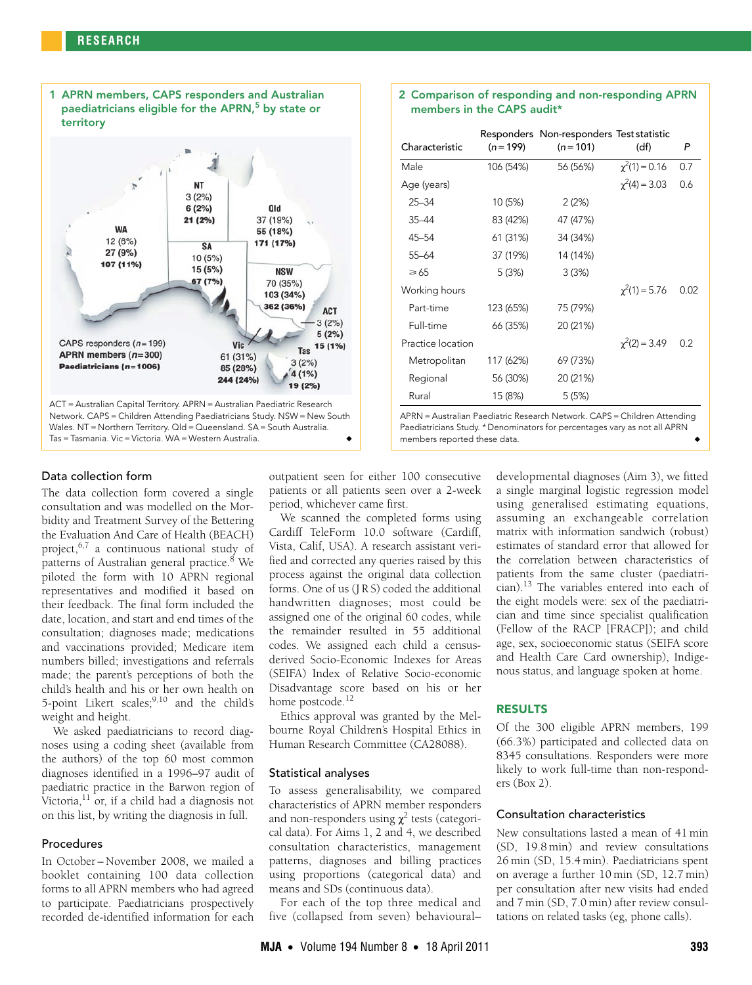

### 2 Comparison of responding and non-responding APRN members in the CAPS audit\*

| Characteristic    | $(n=199)$ | Responders Non-responders Test statistic<br>$(n = 101)$ | (df)                 | P    |
|-------------------|-----------|---------------------------------------------------------|----------------------|------|
| Male              | 106 (54%) | 56 (56%)                                                | $\gamma^2(1) = 0.16$ | 0.7  |
| Age (years)       |           |                                                         | $\chi^2(4) = 3.03$   | 06   |
| $25 - 34$         | 10 (5%)   | 2(2%)                                                   |                      |      |
| $35 - 44$         | 83 (42%)  | 47 (47%)                                                |                      |      |
| $45 - 54$         | 61 (31%)  | 34 (34%)                                                |                      |      |
| 55-64             | 37 (19%)  | 14 (14%)                                                |                      |      |
| $\geqslant$ 6.5   | 5(3%)     | 3(3%)                                                   |                      |      |
| Working hours     |           |                                                         | $\gamma^2(1) = 5.76$ | 0.02 |
| Part-time         | 123 (65%) | 75 (79%)                                                |                      |      |
| Full-time         | 66 (35%)  | 20 (21%)                                                |                      |      |
| Practice location |           |                                                         | $\chi^2(2) = 3.49$   | 02   |
| Metropolitan      | 117 (62%) | 69 (73%)                                                |                      |      |
| Regional          | 56 (30%)  | 20 (21%)                                                |                      |      |
| Rural             | 15 (8%)   | 5 (5%)                                                  |                      |      |

APRN = Australian Paediatric Research Network. CAPS = Children Attending Paediatricians Study. \* Denominators for percentages vary as not all APRN members reported these data.

# Data collection form

The data collection form covered a single consultation and was modelled on the Morbidity and Treatment Survey of the Bettering the Evaluation And Care of Health (BEACH) project,  $6,7$  $6,7$  $6,7$  a continuous national study of patterns of Australian general practice.<sup>[8](#page-5-1)</sup> We piloted the form with 10 APRN regional representatives and modified it based on their feedback. The final form included the date, location, and start and end times of the consultation; diagnoses made; medications and vaccinations provided; Medicare item numbers billed; investigations and referrals made; the parent's perceptions of both the child's health and his or her own health on 5-point Likert scales;<sup>[9,](#page-5-2)10</sup> and the child's weight and height.

We asked paediatricians to record diagnoses using a coding sheet (available from the authors) of the top 60 most common diagnoses identified in a 1996–97 audit of paediatric practice in the Barwon region of Victoria, $11$  or, if a child had a diagnosis not on this list, by writing the diagnosis in full.

# Procedures

In October – November 2008, we mailed a booklet containing 100 data collection forms to all APRN members who had agreed to participate. Paediatricians prospectively recorded de-identified information for each outpatient seen for either 100 consecutive patients or all patients seen over a 2-week period, whichever came first.

We scanned the completed forms using Cardiff TeleForm 10.0 software (Cardiff, Vista, Calif, USA). A research assistant verified and corrected any queries raised by this process against the original data collection forms. One of us (J R S) coded the additional handwritten diagnoses; most could be assigned one of the original 60 codes, while the remainder resulted in 55 additional codes. We assigned each child a censusderived Socio-Economic Indexes for Areas (SEIFA) Index of Relative Socio-economic Disadvantage score based on his or her home postcode.<sup>12</sup>

Ethics approval was granted by the Melbourne Royal Children's Hospital Ethics in Human Research Committee (CA28088).

#### Statistical analyses

To assess generalisability, we compared characteristics of APRN member responders and non-responders using  $\chi^2$  tests (categorical data). For Aims 1, 2 and 4, we described consultation characteristics, management patterns, diagnoses and billing practices using proportions (categorical data) and means and SDs (continuous data).

For each of the top three medical and five (collapsed from seven) behavioural– developmental diagnoses (Aim 3), we fitted a single marginal logistic regression model using generalised estimating equations, assuming an exchangeable correlation matrix with information sandwich (robust) estimates of standard error that allowed for the correlation between characteristics of patients from the same cluster (paediatri- $\text{cian}$ ).<sup>[13](#page-5-6)</sup> The variables entered into each of the eight models were: sex of the paediatrician and time since specialist qualification (Fellow of the RACP [FRACP]); and child age, sex, socioeconomic status (SEIFA score and Health Care Card ownership), Indigenous status, and language spoken at home.

## RESULTS

Of the 300 eligible APRN members, 199 (66.3%) participated and collected data on 8345 consultations. Responders were more likely to work full-time than non-responders (Box 2).

## Consultation characteristics

New consultations lasted a mean of 41 min (SD, 19.8 min) and review consultations 26 min (SD, 15.4 min). Paediatricians spent on average a further 10 min (SD, 12.7 min) per consultation after new visits had ended and 7 min (SD, 7.0 min) after review consultations on related tasks (eg, phone calls).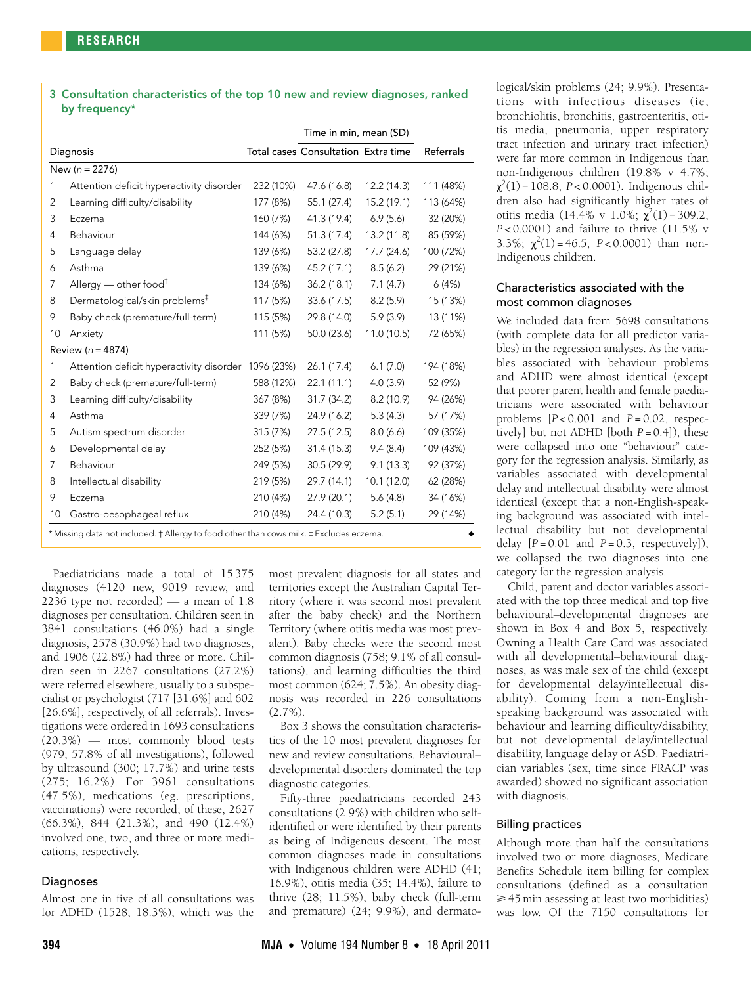## 3 Consultation characteristics of the top 10 new and review diagnoses, ranked by frequency\*

|                                                                                         |                                                     |           | Time in min, mean (SD)              |             |           |  |  |
|-----------------------------------------------------------------------------------------|-----------------------------------------------------|-----------|-------------------------------------|-------------|-----------|--|--|
| Diagnosis                                                                               |                                                     |           | Total cases Consultation Extra time |             | Referrals |  |  |
| New $(n = 2276)$                                                                        |                                                     |           |                                     |             |           |  |  |
| 1                                                                                       | Attention deficit hyperactivity disorder            | 232 (10%) | 47.6 (16.8)                         | 12.2(14.3)  | 111 (48%) |  |  |
| 2                                                                                       | Learning difficulty/disability                      | 177 (8%)  | 55.1 (27.4)                         | 15.2 (19.1) | 113 (64%) |  |  |
| 3                                                                                       | Eczema                                              | 160 (7%)  | 41.3 (19.4)                         | 6.9(5.6)    | 32 (20%)  |  |  |
| 4                                                                                       | Behaviour                                           | 144 (6%)  | 51.3(17.4)                          | 13.2 (11.8) | 85 (59%)  |  |  |
| 5                                                                                       | Language delay                                      | 139 (6%)  | 53.2 (27.8)                         | 17.7 (24.6) | 100 (72%) |  |  |
| 6                                                                                       | Asthma                                              | 139 (6%)  | 45.2 (17.1)                         | 8.5(6.2)    | 29 (21%)  |  |  |
| 7                                                                                       | Allergy — other food <sup>†</sup>                   | 134 (6%)  | 36.2(18.1)                          | 7.1(4.7)    | 6(4%)     |  |  |
| 8                                                                                       | Dermatological/skin problems <sup>‡</sup>           | 117 (5%)  | 33.6(17.5)                          | 8.2(5.9)    | 15 (13%)  |  |  |
| 9                                                                                       | Baby check (premature/full-term)                    | 115 (5%)  | 29.8 (14.0)                         | 5.9(3.9)    | 13 (11%)  |  |  |
| 10                                                                                      | Anxiety                                             | 111 (5%)  | 50.0(23.6)                          | 11.0 (10.5) | 72 (65%)  |  |  |
| Review ( $n = 4874$ )                                                                   |                                                     |           |                                     |             |           |  |  |
| 1                                                                                       | Attention deficit hyperactivity disorder 1096 (23%) |           | 26.1 (17.4)                         | 6.1(7.0)    | 194 (18%) |  |  |
| 2                                                                                       | Baby check (premature/full-term)                    | 588 (12%) | 22.1(11.1)                          | 4.0(3.9)    | 52 (9%)   |  |  |
| 3                                                                                       | Learning difficulty/disability                      | 367 (8%)  | 31.7(34.2)                          | 8.2(10.9)   | 94 (26%)  |  |  |
| 4                                                                                       | Asthma                                              | 339 (7%)  | 24.9 (16.2)                         | 5.3(4.3)    | 57 (17%)  |  |  |
| 5                                                                                       | Autism spectrum disorder                            | 315 (7%)  | 27.5(12.5)                          | 8.0(6.6)    | 109 (35%) |  |  |
| 6                                                                                       | Developmental delay                                 | 252 (5%)  | 31.4(15.3)                          | 9.4(8.4)    | 109 (43%) |  |  |
| 7                                                                                       | Behaviour                                           | 249 (5%)  | 30.5(29.9)                          | 9.1(13.3)   | 92 (37%)  |  |  |
| 8                                                                                       | Intellectual disability                             | 219 (5%)  | 29.7 (14.1)                         | 10.1 (12.0) | 62 (28%)  |  |  |
| 9                                                                                       | Eczema                                              | 210 (4%)  | 27.9 (20.1)                         | 5.6(4.8)    | 34 (16%)  |  |  |
| 10                                                                                      | Gastro-oesophageal reflux                           | 210 (4%)  | 24.4 (10.3)                         | 5.2(5.1)    | 29 (14%)  |  |  |
| * Missing data not included. † Allergy to food other than cows milk. ‡ Excludes eczema. |                                                     |           |                                     |             |           |  |  |

Paediatricians made a total of 15 375 diagnoses (4120 new, 9019 review, and 2236 type not recorded) — a mean of 1.8 diagnoses per consultation. Children seen in 3841 consultations (46.0%) had a single diagnosis, 2578 (30.9%) had two diagnoses, and 1906 (22.8%) had three or more. Children seen in 2267 consultations (27.2%) were referred elsewhere, usually to a subspecialist or psychologist (717 [31.6%] and 602 [26.6%], respectively, of all referrals). Investigations were ordered in 1693 consultations (20.3%) — most commonly blood tests (979; 57.8% of all investigations), followed by ultrasound (300; 17.7%) and urine tests (275; 16.2%). For 3961 consultations (47.5%), medications (eg, prescriptions, vaccinations) were recorded; of these, 2627 (66.3%), 844 (21.3%), and 490 (12.4%) involved one, two, and three or more medications, respectively.

#### **Diagnoses**

Almost one in five of all consultations was for ADHD (1528; 18.3%), which was the most prevalent diagnosis for all states and territories except the Australian Capital Territory (where it was second most prevalent after the baby check) and the Northern Territory (where otitis media was most prevalent). Baby checks were the second most common diagnosis (758; 9.1% of all consultations), and learning difficulties the third most common (624; 7.5%). An obesity diagnosis was recorded in 226 consultations  $(2.7\%)$ .

Box 3 shows the consultation characteristics of the 10 most prevalent diagnoses for new and review consultations. Behavioural– developmental disorders dominated the top diagnostic categories.

Fifty-three paediatricians recorded 243 consultations (2.9%) with children who selfidentified or were identified by their parents as being of Indigenous descent. The most common diagnoses made in consultations with Indigenous children were ADHD (41; 16.9%), otitis media (35; 14.4%), failure to thrive (28; 11.5%), baby check (full-term and premature) (24; 9.9%), and dermatological/skin problems (24; 9.9%). Presentations with infectious diseases (ie, bronchiolitis, bronchitis, gastroenteritis, otitis media, pneumonia, upper respiratory tract infection and urinary tract infection) were far more common in Indigenous than non-Indigenous children (19.8% v 4.7%;  $\chi^2(1) = 108.8$ , *P* < 0.0001). Indigenous children also had significantly higher rates of otitis media (14.4% v 1.0%;  $\chi^2(1) = 309.2$ , *P* < 0.0001) and failure to thrive (11.5% v 3.3%;  $\chi^2(1) = 46.5$ ,  $P < 0.0001$ ) than non-Indigenous children.

# Characteristics associated with the most common diagnoses

We included data from 5698 consultations (with complete data for all predictor variables) in the regression analyses. As the variables associated with behaviour problems and ADHD were almost identical (except that poorer parent health and female paediatricians were associated with behaviour problems [*P* < 0.001 and *P* = 0.02, respectively] but not ADHD [both  $P = 0.4$ ]), these were collapsed into one "behaviour" category for the regression analysis. Similarly, as variables associated with developmental delay and intellectual disability were almost identical (except that a non-English-speaking background was associated with intellectual disability but not developmental delay  $[P = 0.01$  and  $P = 0.3$ , respectively]), we collapsed the two diagnoses into one category for the regression analysis.

Child, parent and doctor variables associated with the top three medical and top five behavioural–developmental diagnoses are shown in Box 4 and Box 5, respectively. Owning a Health Care Card was associated with all developmental–behavioural diagnoses, as was male sex of the child (except for developmental delay/intellectual disability). Coming from a non-Englishspeaking background was associated with behaviour and learning difficulty/disability, but not developmental delay/intellectual disability, language delay or ASD. Paediatrician variables (sex, time since FRACP was awarded) showed no significant association with diagnosis.

## Billing practices

Although more than half the consultations involved two or more diagnoses, Medicare Benefits Schedule item billing for complex consultations (defined as a consultation ≥ 45 min assessing at least two morbidities) was low. Of the 7150 consultations for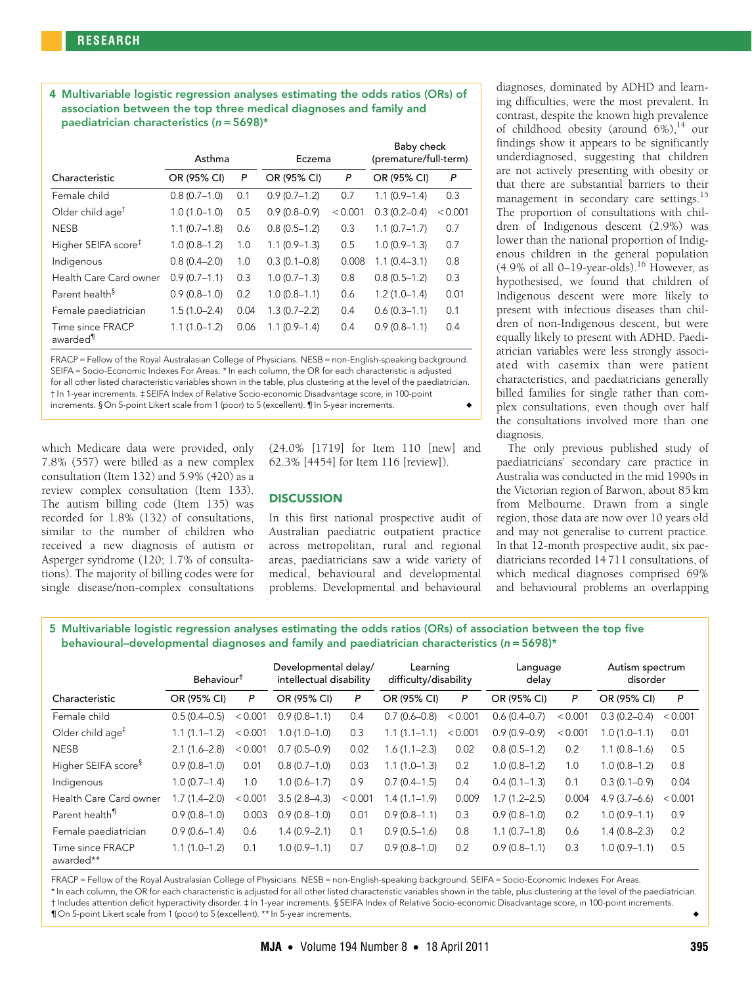4 Multivariable logistic regression analyses estimating the odds ratios (ORs) of association between the top three medical diagnoses and family and paediatrician characteristics ( $n = 5698$ )\*

|                                           | Asthma<br>Eczema |      |                  | Baby check<br>(premature/full-term) |                  |         |
|-------------------------------------------|------------------|------|------------------|-------------------------------------|------------------|---------|
| Characteristic                            | OR (95% CI)      | P    | OR (95% CI)      | P                                   | OR (95% CI)      | P       |
| Female child                              | $0.8(0.7-1.0)$   | 0.1  | $0.9(0.7-1.2)$   | 0.7                                 | $1.1(0.9-1.4)$   | 0.3     |
| Older child age <sup><math>†</math></sup> | $1.0(1.0-1.0)$   | 0.5  | $0.9(0.8-0.9)$   | < 0.001                             | $0.3(0.2 - 0.4)$ | < 0.001 |
| <b>NESB</b>                               | $1.1(0.7-1.8)$   | 0.6  | $0.8(0.5-1.2)$   | 0.3                                 | $1.1(0.7-1.7)$   | 0.7     |
| Higher SEIFA score <sup>#</sup>           | $1.0(0.8-1.2)$   | 1.0  | $1.1(0.9-1.3)$   | 0.5                                 | $1.0(0.9-1.3)$   | 0.7     |
| Indigenous                                | $0.8(0.4 - 2.0)$ | 1.0  | $0.3(0.1 - 0.8)$ | 0.008                               | $1.1(0.4 - 3.1)$ | 0.8     |
| Health Care Card owner                    | $0.9(0.7-1.1)$   | 0.3  | $1.0(0.7-1.3)$   | 0.8                                 | $0.8(0.5-1.2)$   | 0.3     |
| Parent health <sup>§</sup>                | $0.9(0.8-1.0)$   | 0.2  | $1.0(0.8-1.1)$   | 0.6                                 | $1.2(1.0-1.4)$   | 0.01    |
| Female paediatrician                      | $1.5(1.0 - 2.4)$ | 0.04 | $1.3(0.7 - 2.2)$ | 0.4                                 | $0.6(0.3-1.1)$   | 0.1     |
| Time since FRACP<br>awarded <sup>1</sup>  | $1.1(1.0-1.2)$   | 0.06 | $1.1(0.9-1.4)$   | 0.4                                 | $0.9(0.8-1.1)$   | 0.4     |

FRACP = Fellow of the Royal Australasian College of Physicians. NESB = non-English-speaking background. SEIFA = Socio-Economic Indexes For Areas. \* In each column, the OR for each characteristic is adjusted for all other listed characteristic variables shown in the table, plus clustering at the level of the paediatrician. † In 1-year increments. ‡ SEIFA Index of Relative Socio-economic Disadvantage score, in 100-point increments. § On 5-point Likert scale from 1 (poor) to 5 (excellent). ¶ In 5-year increments.

which Medicare data were provided, only 7.8% (557) were billed as a new complex consultation (Item 132) and 5.9% (420) as a review complex consultation (Item 133). The autism billing code (Item 135) was recorded for 1.8% (132) of consultations, similar to the number of children who received a new diagnosis of autism or Asperger syndrome (120; 1.7% of consultations). The majority of billing codes were for single disease/non-complex consultations

(24.0% [1719] for Item 110 [new] and 62.3% [4454] for Item 116 [review]).

# **DISCUSSION**

In this first national prospective audit of Australian paediatric outpatient practice across metropolitan, rural and regional areas, paediatricians saw a wide variety of medical, behavioural and developmental problems. Developmental and behavioural

diagnoses, dominated by ADHD and learning difficulties, were the most prevalent. In contrast, despite the known high prevalence of childhood obesity (around  $6\%$ ),<sup>14</sup> our findings show it appears to be significantly underdiagnosed, suggesting that children are not actively presenting with obesity or that there are substantial barriers to their management in secondary care settings.<sup>[15](#page-5-8)</sup> The proportion of consultations with children of Indigenous descent (2.9%) was lower than the national proportion of Indigenous children in the general population (4.9% of all 0–19-year-olds).<sup>[16](#page-5-9)</sup> However, as hypothesised, we found that children of Indigenous descent were more likely to present with infectious diseases than children of non-Indigenous descent, but were equally likely to present with ADHD. Paediatrician variables were less strongly associated with casemix than were patient characteristics, and paediatricians generally billed families for single rather than complex consultations, even though over half the consultations involved more than one diagnosis.

The only previous published study of paediatricians' secondary care practice in Australia was conducted in the mid 1990s in the Victorian region of Barwon, about 85 km from Melbourne. Drawn from a single region, those data are now over 10 years old and may not generalise to current practice. In that 12-month prospective audit, six paediatricians recorded 14 711 consultations, of which medical diagnoses comprised 69% and behavioural problems an overlapping

5 Multivariable logistic regression analyses estimating the odds ratios (ORs) of association between the top five behavioural–developmental diagnoses and family and paediatrician characteristics ( $n=5698$ )\*

|                                           | Behaviour <sup>†</sup> |         | Developmental delay/<br>intellectual disability |         | Learning<br>difficulty/disability |         | Language<br>delay |         | Autism spectrum<br>disorder |         |
|-------------------------------------------|------------------------|---------|-------------------------------------------------|---------|-----------------------------------|---------|-------------------|---------|-----------------------------|---------|
| Characteristic                            | OR (95% CI)            | P       | OR (95% CI)                                     | P       | OR (95% CI)                       | P       | OR (95% CI)       | P       | OR (95% CI)                 | P       |
| Female child                              | $0.5(0.4-0.5)$         | < 0.001 | $0.9(0.8-1.1)$                                  | 0.4     | $0.7(0.6 - 0.8)$                  | < 0.001 | $0.6(0.4 - 0.7)$  | < 0.001 | $0.3(0.2 - 0.4)$            | < 0.001 |
| Older child age <sup><math>‡</math></sup> | $1.1(1.1 - 1.2)$       | < 0.001 | $1.0(1.0-1.0)$                                  | 0.3     | $1.1(1.1-1.1)$                    | < 0.001 | $0.9(0.9-0.9)$    | < 0.001 | $1.0(1.0-1.1)$              | 0.01    |
| <b>NESB</b>                               | $2.1(1.6 - 2.8)$       | < 0.001 | $0.7(0.5-0.9)$                                  | 0.02    | $1.6(1.1 - 2.3)$                  | 0.02    | $0.8(0.5-1.2)$    | 0.2     | $1.1(0.8-1.6)$              | 0.5     |
| Higher SEIFA score <sup>§</sup>           | $0.9(0.8-1.0)$         | 0.01    | $0.8(0.7-1.0)$                                  | 0.03    | $1.1(1.0-1.3)$                    | 0.2     | $1.0(0.8-1.2)$    | 1.0     | $1.0(0.8-1.2)$              | 0.8     |
| Indigenous                                | $1.0(0.7-1.4)$         | 1.0     | $1.0(0.6 - 1.7)$                                | 0.9     | $0.7(0.4-1.5)$                    | 0.4     | $0.4(0.1-1.3)$    | 0.1     | $0.3(0.1-0.9)$              | 0.04    |
| Health Care Card owner                    | $1.7(1.4 - 2.0)$       | < 0.001 | $3.5(2.8-4.3)$                                  | < 0.001 | 1.4 (1.1–1.9)                     | 0.009   | $1.7(1.2 - 2.5)$  | 0.004   | $4.9(3.7 - 6.6)$            | < 0.001 |
| Parent health <sup>11</sup>               | $0.9(0.8-1.0)$         | 0.003   | $0.9(0.8-1.0)$                                  | 0.01    | $0.9(0.8-1.1)$                    | 0.3     | $0.9(0.8-1.0)$    | 0.2     | $1.0(0.9-1.1)$              | 0.9     |
| Female paediatrician                      | $0.9(0.6-1.4)$         | 0.6     | $1.4(0.9 - 2.1)$                                | 0.1     | $0.9(0.5-1.6)$                    | 0.8     | $1.1(0.7-1.8)$    | 0.6     | $1.4(0.8 - 2.3)$            | 0.2     |
| Time since FRACP<br>awarded**             | $1.1(1.0-1.2)$         | 0.1     | $1.0(0.9-1.1)$                                  | 0.7     | $0.9(0.8-1.0)$                    | 0.2     | $0.9(0.8-1.1)$    | 0.3     | $1.0(0.9-1.1)$              | 0.5     |

FRACP = Fellow of the Royal Australasian College of Physicians. NESB = non-English-speaking background. SEIFA = Socio-Economic Indexes For Areas. \* In each column, the OR for each characteristic is adjusted for all other listed characteristic variables shown in the table, plus clustering at the level of the paediatrician. † Includes attention deficit hyperactivity disorder. ‡ In 1-year increments. § SEIFA Index of Relative Socio-economic Disadvantage score, in 100-point increments. ¶ On 5-point Likert scale from 1 (poor) to 5 (excellent). \*\* In 5-year increments. ◆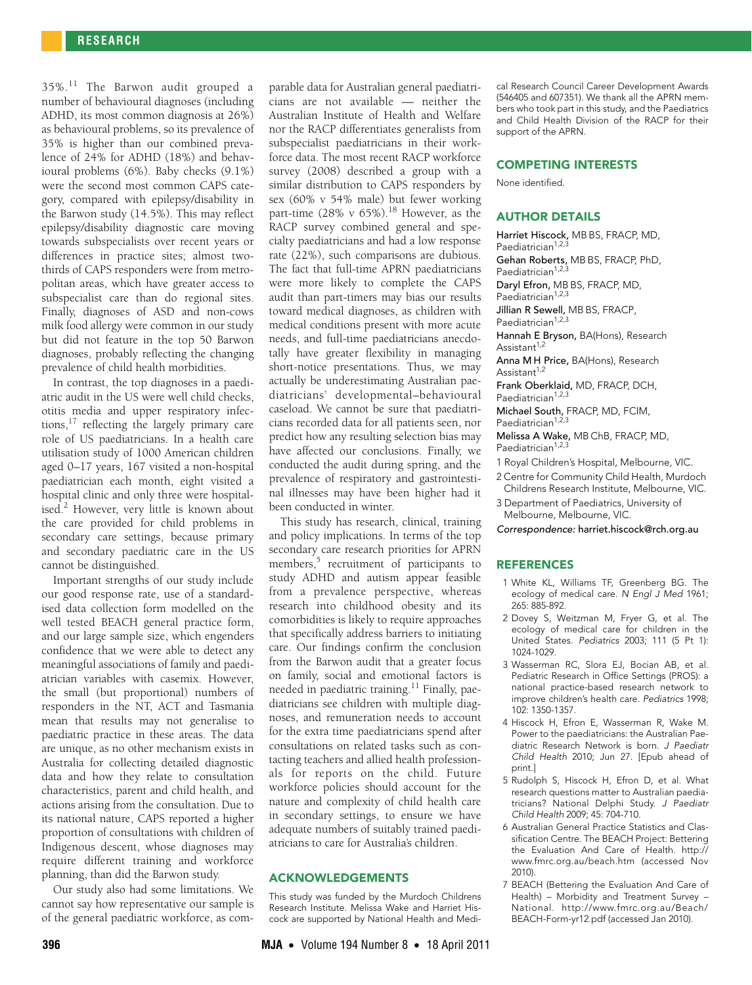$35\%$ .<sup>11</sup> The Barwon audit grouped a number of behavioural diagnoses (including ADHD, its most common diagnosis at 26%) as behavioural problems, so its prevalence of 35% is higher than our combined prevalence of 24% for ADHD (18%) and behavioural problems (6%). Baby checks (9.1%) were the second most common CAPS category, compared with epilepsy/disability in the Barwon study (14.5%). This may reflect epilepsy/disability diagnostic care moving towards subspecialists over recent years or differences in practice sites; almost twothirds of CAPS responders were from metropolitan areas, which have greater access to subspecialist care than do regional sites. Finally, diagnoses of ASD and non-cows milk food allergy were common in our study but did not feature in the top 50 Barwon diagnoses, probably reflecting the changing prevalence of child health morbidities.

In contrast, the top diagnoses in a paediatric audit in the US were well child checks, otitis media and upper respiratory infections, $17$  reflecting the largely primary care role of US paediatricians. In a health care utilisation study of 1000 American children aged 0–17 years, 167 visited a non-hospital paediatrician each month, eight visited a hospital clinic and only three were hospital-ised.<sup>[2](#page-4-1)</sup> However, very little is known about the care provided for child problems in secondary care settings, because primary and secondary paediatric care in the US cannot be distinguished.

Important strengths of our study include our good response rate, use of a standardised data collection form modelled on the well tested BEACH general practice form, and our large sample size, which engenders confidence that we were able to detect any meaningful associations of family and paediatrician variables with casemix. However, the small (but proportional) numbers of responders in the NT, ACT and Tasmania mean that results may not generalise to paediatric practice in these areas. The data are unique, as no other mechanism exists in Australia for collecting detailed diagnostic data and how they relate to consultation characteristics, parent and child health, and actions arising from the consultation. Due to its national nature, CAPS reported a higher proportion of consultations with children of Indigenous descent, whose diagnoses may require different training and workforce planning, than did the Barwon study.

Our study also had some limitations. We cannot say how representative our sample is of the general paediatric workforce, as com-

parable data for Australian general paediatricians are not available — neither the Australian Institute of Health and Welfare nor the RACP differentiates generalists from subspecialist paediatricians in their workforce data. The most recent RACP workforce survey (2008) described a group with a similar distribution to CAPS responders by sex (60% v 54% male) but fewer working part-time  $(28\% \text{ v } 65\%).^{18}$  $(28\% \text{ v } 65\%).^{18}$  $(28\% \text{ v } 65\%).^{18}$  However, as the RACP survey combined general and specialty paediatricians and had a low response rate (22%), such comparisons are dubious. The fact that full-time APRN paediatricians were more likely to complete the CAPS audit than part-timers may bias our results toward medical diagnoses, as children with medical conditions present with more acute needs, and full-time paediatricians anecdotally have greater flexibility in managing short-notice presentations. Thus, we may actually be underestimating Australian paediatricians' developmental–behavioural caseload. We cannot be sure that paediatricians recorded data for all patients seen, nor predict how any resulting selection bias may have affected our conclusions. Finally, we conducted the audit during spring, and the prevalence of respiratory and gastrointestinal illnesses may have been higher had it been conducted in winter.

This study has research, clinical, training and policy implications. In terms of the top secondary care research priorities for APRN members,<sup>5</sup> recruitment of participants to study ADHD and autism appear feasible from a prevalence perspective, whereas research into childhood obesity and its comorbidities is likely to require approaches that specifically address barriers to initiating care. Our findings confirm the conclusion from the Barwon audit that a greater focus on family, social and emotional factors is needed in paediatric training.<sup>11</sup> Finally, paediatricians see children with multiple diagnoses, and remuneration needs to account for the extra time paediatricians spend after consultations on related tasks such as contacting teachers and allied health professionals for reports on the child. Future workforce policies should account for the nature and complexity of child health care in secondary settings, to ensure we have adequate numbers of suitably trained paediatricians to care for Australia's children.

# ACKNOWLEDGEMENTS

This study was funded by the Murdoch Childrens Research Institute. Melissa Wake and Harriet Hiscock are supported by National Health and Medical Research Council Career Development Awards (546405 and 607351). We thank all the APRN members who took part in this study, and the Paediatrics and Child Health Division of the RACP for their support of the APRN.

#### COMPETING INTERESTS

None identified.

## AUTHOR DETAILS

Harriet Hiscock, MB BS, FRACP, MD, Paediatrician<sup>1,2,3</sup> Gehan Roberts, MB BS, FRACP, PhD, Paediatrician<sup>1,2,3</sup> Daryl Efron, MB BS, FRACP, MD, Paediatrician $1,2,3$ Jillian R Sewell, MB BS, FRACP, Paediatrician<sup>1,2,3</sup> Hannah E Bryson, BA(Hons), Research Assistant<sup>1,2</sup> Anna M H Price, BA(Hons), Research Assistant $1,2$ Frank Oberklaid, MD, FRACP, DCH, Paediatrician<sup>1,2,3</sup> Michael South, FRACP, MD, FCIM, Paediatrician<sup>1,2,3</sup>

Melissa A Wake, MB ChB, FRACP, MD, Paediatrician<sup>1,2,3</sup>

- 1 Royal Children's Hospital, Melbourne, VIC.
- 2 Centre for Community Child Health, Murdoch Childrens Research Institute, Melbourne, VIC.
- 3 Department of Paediatrics, University of Melbourne, Melbourne, VIC.

Correspondence: harriet.hiscock@rch.org.au

#### **REFERENCES**

- <span id="page-4-0"></span>1 White KL, Williams TF, Greenberg BG. The ecology of medical care. N Engl J Med 1961; 265: 885-892.
- <span id="page-4-1"></span>2 Dovey S, Weitzman M, Fryer G, et al. The ecology of medical care for children in the United States. Pediatrics 2003; 111 (5 Pt 1): 1024-1029.
- <span id="page-4-2"></span>3 Wasserman RC, Slora EJ, Bocian AB, et al. Pediatric Research in Office Settings (PROS): a national practice-based research network to improve children's health care. Pediatrics 1998; 102: 1350-1357.
- <span id="page-4-3"></span>4 Hiscock H, Efron E, Wasserman R, Wake M. Power to the paediatricians: the Australian Paediatric Research Network is born. J Paediatr Child Health 2010; Jun 27. [Epub ahead of print.]
- <span id="page-4-4"></span>5 Rudolph S, Hiscock H, Efron D, et al. What research questions matter to Australian paediatricians? National Delphi Study. J Paediatr Child Health 2009; 45: 704-710.
- <span id="page-4-5"></span>6 Australian General Practice Statistics and Classification Centre. The BEACH Project: Bettering the Evaluation And Care of Health. http:// www.fmrc.org.au/beach.htm (accessed Nov 2010).
- <span id="page-4-6"></span>7 BEACH (Bettering the Evaluation And Care of Health) – Morbidity and Treatment Survey – National. http://www.fmrc.org.au/Beach/ BEACH-Form-yr12.pdf (accessed Jan 2010).